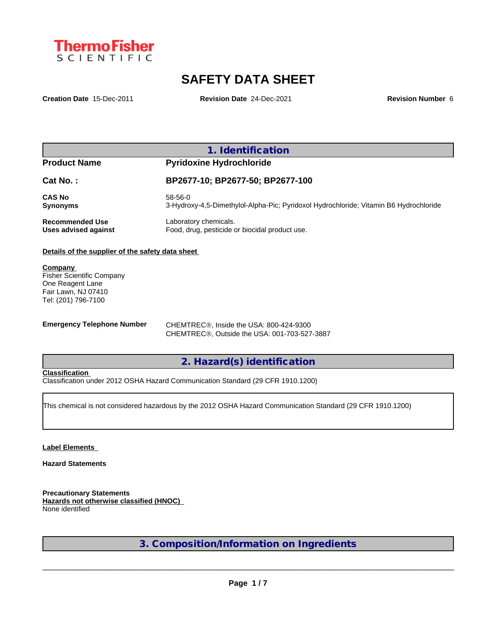

# **SAFETY DATA SHEET**

**Creation Date** 15-Dec-2011 **Revision Date** 24-Dec-2021 **Revision Number** 6

## **1. Identification**

### **Product Name Pyridoxine Hydrochloride**

| Cat No.:               | BP2677-10; BP2677-50; BP2677-100                                                      |
|------------------------|---------------------------------------------------------------------------------------|
| <b>CAS No</b>          | 58-56-0                                                                               |
| <b>Synonyms</b>        | 3-Hydroxy-4,5-Dimethylol-Alpha-Pic; Pyridoxol Hydrochloride; Vitamin B6 Hydrochloride |
| <b>Recommended Use</b> | Laboratory chemicals.                                                                 |
| Uses advised against   | Food, drug, pesticide or biocidal product use.                                        |

#### **Details of the supplier of the safety data sheet**

**Company**  Fisher Scientific Company One Reagent Lane Fair Lawn, NJ 07410 Tel: (201) 796-7100

**Emergency Telephone Number** CHEMTREC®, Inside the USA: 800-424-9300 CHEMTREC®, Outside the USA: 001-703-527-3887

**2. Hazard(s) identification**

#### **Classification**

Classification under 2012 OSHA Hazard Communication Standard (29 CFR 1910.1200)

This chemical is not considered hazardous by the 2012 OSHA Hazard Communication Standard (29 CFR 1910.1200)

#### **Label Elements**

**Hazard Statements**

**Precautionary Statements Hazards not otherwise classified (HNOC)** None identified

**3. Composition/Information on Ingredients**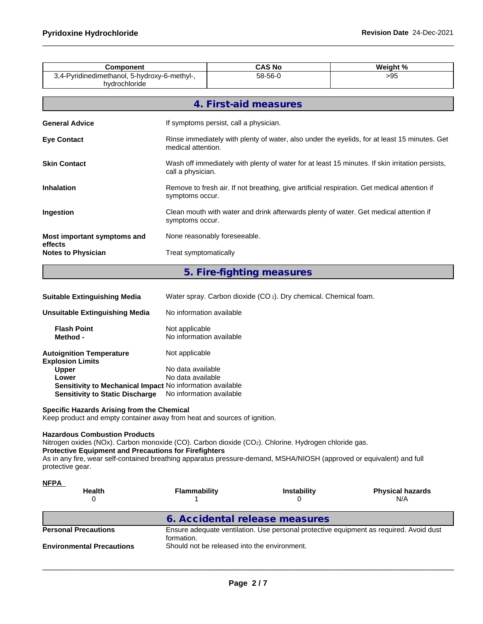| 3,4-Pyridinedimethanol, 5-hydroxy-6-methyl-,<br>58-56-0<br>>95<br>hydrochloride<br>4. First-aid measures<br>If symptoms persist, call a physician.<br>medical attention.<br>call a physician.<br>Remove to fresh air. If not breathing, give artificial respiration. Get medical attention if<br>symptoms occur.<br>Clean mouth with water and drink afterwards plenty of water. Get medical attention if<br>symptoms occur.<br>None reasonably foreseeable.<br>Treat symptomatically<br><b>Notes to Physician</b> | <b>Component</b> |                                                                                              | <b>CAS No</b>                                                                                   | Weight % |  |  |  |  |  |
|--------------------------------------------------------------------------------------------------------------------------------------------------------------------------------------------------------------------------------------------------------------------------------------------------------------------------------------------------------------------------------------------------------------------------------------------------------------------------------------------------------------------|------------------|----------------------------------------------------------------------------------------------|-------------------------------------------------------------------------------------------------|----------|--|--|--|--|--|
| <b>General Advice</b><br><b>Eye Contact</b><br><b>Skin Contact</b><br><b>Inhalation</b><br>Ingestion<br>Most important symptoms and<br>effects                                                                                                                                                                                                                                                                                                                                                                     |                  |                                                                                              |                                                                                                 |          |  |  |  |  |  |
|                                                                                                                                                                                                                                                                                                                                                                                                                                                                                                                    |                  |                                                                                              |                                                                                                 |          |  |  |  |  |  |
|                                                                                                                                                                                                                                                                                                                                                                                                                                                                                                                    |                  |                                                                                              |                                                                                                 |          |  |  |  |  |  |
|                                                                                                                                                                                                                                                                                                                                                                                                                                                                                                                    |                  | Rinse immediately with plenty of water, also under the eyelids, for at least 15 minutes. Get |                                                                                                 |          |  |  |  |  |  |
|                                                                                                                                                                                                                                                                                                                                                                                                                                                                                                                    |                  |                                                                                              | Wash off immediately with plenty of water for at least 15 minutes. If skin irritation persists, |          |  |  |  |  |  |
|                                                                                                                                                                                                                                                                                                                                                                                                                                                                                                                    |                  |                                                                                              |                                                                                                 |          |  |  |  |  |  |
|                                                                                                                                                                                                                                                                                                                                                                                                                                                                                                                    |                  |                                                                                              |                                                                                                 |          |  |  |  |  |  |
|                                                                                                                                                                                                                                                                                                                                                                                                                                                                                                                    |                  |                                                                                              |                                                                                                 |          |  |  |  |  |  |
|                                                                                                                                                                                                                                                                                                                                                                                                                                                                                                                    |                  |                                                                                              |                                                                                                 |          |  |  |  |  |  |

# **5. Fire-fighting measures**

| <b>Suitable Extinguishing Media</b> | Water spray. Carbon dioxide (CO <sub>2</sub> ). Dry chemical. Chemical foam. |  |
|-------------------------------------|------------------------------------------------------------------------------|--|
|-------------------------------------|------------------------------------------------------------------------------|--|

| Unsuitable Extinguishing Media                                   | No information available                   |
|------------------------------------------------------------------|--------------------------------------------|
| <b>Flash Point</b><br>Method -                                   | Not applicable<br>No information available |
| <b>Autoignition Temperature</b><br><b>Explosion Limits</b>       | Not applicable                             |
| <b>Upper</b>                                                     | No data available                          |
| Lower                                                            | No data available                          |
| <b>Sensitivity to Mechanical Impact No information available</b> |                                            |
| <b>Sensitivity to Static Discharge</b>                           | No information available                   |

#### **Specific Hazards Arising from the Chemical**

Keep product and empty container away from heat and sources of ignition.

#### **Hazardous Combustion Products**

Nitrogen oxides (NOx). Carbon monoxide (CO). Carbon dioxide (CO2). Chlorine. Hydrogen chloride gas. **Protective Equipment and Precautions for Firefighters**

As in any fire, wear self-contained breathing apparatus pressure-demand, MSHA/NIOSH (approved or equivalent) and full protective gear.

| <u>NFPA</u><br><b>Health</b>     | Flammability                                 | Instability | <b>Physical hazards</b><br>N/A                                                         |
|----------------------------------|----------------------------------------------|-------------|----------------------------------------------------------------------------------------|
|                                  | 6. Accidental release measures               |             |                                                                                        |
| <b>Personal Precautions</b>      | formation.                                   |             | Ensure adequate ventilation. Use personal protective equipment as required. Avoid dust |
| <b>Environmental Precautions</b> | Should not be released into the environment. |             |                                                                                        |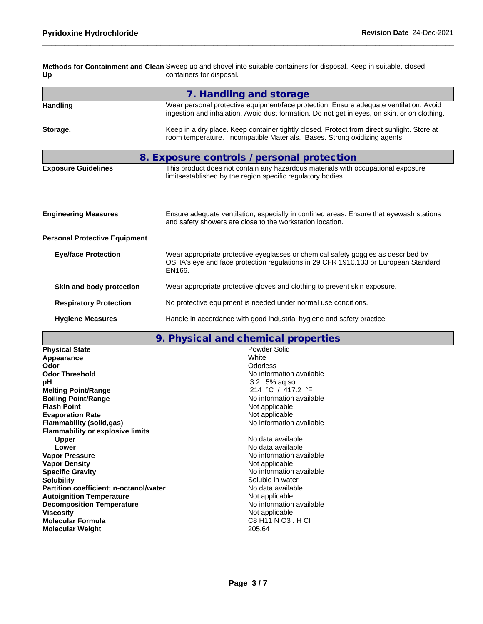**Methods for Containment and Clean** Sweep up and shovel into suitable containers for disposal. Keep in suitable, closed **Up** containers for disposal.

|                                      | 7. Handling and storage                                                                                                                                                                |  |  |  |  |  |  |
|--------------------------------------|----------------------------------------------------------------------------------------------------------------------------------------------------------------------------------------|--|--|--|--|--|--|
| <b>Handling</b>                      | Wear personal protective equipment/face protection. Ensure adequate ventilation. Avoid<br>ingestion and inhalation. Avoid dust formation. Do not get in eyes, on skin, or on clothing. |  |  |  |  |  |  |
| Storage.                             | Keep in a dry place. Keep container tightly closed. Protect from direct sunlight. Store at<br>room temperature. Incompatible Materials. Bases. Strong oxidizing agents.                |  |  |  |  |  |  |
|                                      | 8. Exposure controls / personal protection                                                                                                                                             |  |  |  |  |  |  |
| <b>Exposure Guidelines</b>           | This product does not contain any hazardous materials with occupational exposure<br>limitsestablished by the region specific regulatory bodies.                                        |  |  |  |  |  |  |
| <b>Engineering Measures</b>          | Ensure adequate ventilation, especially in confined areas. Ensure that eyewash stations<br>and safety showers are close to the workstation location.                                   |  |  |  |  |  |  |
| <b>Personal Protective Equipment</b> |                                                                                                                                                                                        |  |  |  |  |  |  |
| <b>Eye/face Protection</b>           | Wear appropriate protective eyeglasses or chemical safety goggles as described by<br>OSHA's eye and face protection regulations in 29 CFR 1910.133 or European Standard<br>EN166.      |  |  |  |  |  |  |
| Skin and body protection             | Wear appropriate protective gloves and clothing to prevent skin exposure.                                                                                                              |  |  |  |  |  |  |
| <b>Respiratory Protection</b>        | No protective equipment is needed under normal use conditions.                                                                                                                         |  |  |  |  |  |  |
| <b>Hygiene Measures</b>              | Handle in accordance with good industrial hygiene and safety practice.                                                                                                                 |  |  |  |  |  |  |

## **9. Physical and chemical properties**

| <b>Physical State</b>                   | Powder Solid             |
|-----------------------------------------|--------------------------|
| Appearance                              | White                    |
| Odor                                    | Odorless                 |
| <b>Odor Threshold</b>                   | No information available |
| рH                                      | $3.2\;5\%$ ag.sol        |
| <b>Melting Point/Range</b>              | 214 °C / 417.2 °F        |
| <b>Boiling Point/Range</b>              | No information available |
| <b>Flash Point</b>                      | Not applicable           |
| <b>Evaporation Rate</b>                 | Not applicable           |
| <b>Flammability (solid,gas)</b>         | No information available |
| <b>Flammability or explosive limits</b> |                          |
| <b>Upper</b>                            | No data available        |
| Lower                                   | No data available        |
| <b>Vapor Pressure</b>                   | No information available |
| <b>Vapor Density</b>                    | Not applicable           |
| <b>Specific Gravity</b>                 | No information available |
| <b>Solubility</b>                       | Soluble in water         |
| Partition coefficient; n-octanol/water  | No data available        |
| <b>Autoignition Temperature</b>         | Not applicable           |
| <b>Decomposition Temperature</b>        | No information available |
| <b>Viscosity</b>                        | Not applicable           |
| <b>Molecular Formula</b>                | C8 H11 N O3 . H CI       |
| <b>Molecular Weight</b>                 | 205.64                   |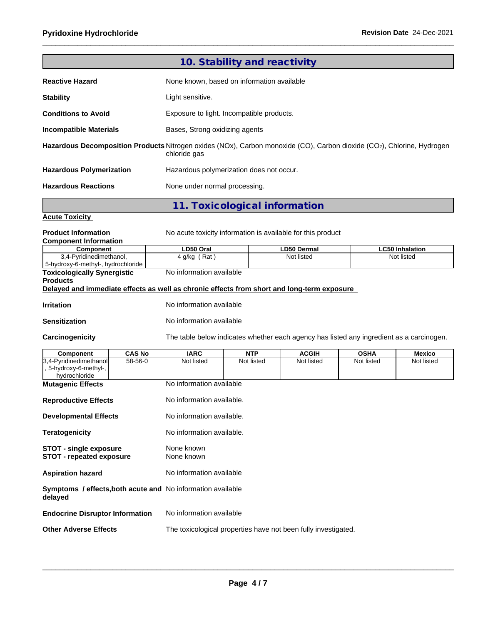|                                                                                                                        |               |                                            | 10. Stability and reactivity             |                                                                                          |            |                        |  |  |  |  |  |
|------------------------------------------------------------------------------------------------------------------------|---------------|--------------------------------------------|------------------------------------------|------------------------------------------------------------------------------------------|------------|------------------------|--|--|--|--|--|
| <b>Reactive Hazard</b>                                                                                                 |               | None known, based on information available |                                          |                                                                                          |            |                        |  |  |  |  |  |
| <b>Stability</b>                                                                                                       |               | Light sensitive.                           |                                          |                                                                                          |            |                        |  |  |  |  |  |
| <b>Conditions to Avoid</b>                                                                                             |               | Exposure to light. Incompatible products.  |                                          |                                                                                          |            |                        |  |  |  |  |  |
| <b>Incompatible Materials</b>                                                                                          |               |                                            | Bases, Strong oxidizing agents           |                                                                                          |            |                        |  |  |  |  |  |
| Hazardous Decomposition Products Nitrogen oxides (NOx), Carbon monoxide (CO), Carbon dioxide (CO2), Chlorine, Hydrogen |               | chloride gas                               |                                          |                                                                                          |            |                        |  |  |  |  |  |
| <b>Hazardous Polymerization</b>                                                                                        |               |                                            | Hazardous polymerization does not occur. |                                                                                          |            |                        |  |  |  |  |  |
| <b>Hazardous Reactions</b>                                                                                             |               | None under normal processing.              |                                          |                                                                                          |            |                        |  |  |  |  |  |
|                                                                                                                        |               |                                            | 11. Toxicological information            |                                                                                          |            |                        |  |  |  |  |  |
| <b>Acute Toxicity</b>                                                                                                  |               |                                            |                                          |                                                                                          |            |                        |  |  |  |  |  |
| <b>Product Information</b><br><b>Component Information</b>                                                             |               |                                            |                                          | No acute toxicity information is available for this product                              |            |                        |  |  |  |  |  |
| Component                                                                                                              |               | LD50 Oral                                  |                                          | <b>LD50 Dermal</b>                                                                       |            | <b>LC50 Inhalation</b> |  |  |  |  |  |
| 3,4-Pyridinedimethanol,<br>5-hydroxy-6-methyl-, hydrochloride                                                          |               | $4$ g/kg (Rat)<br>Not listed<br>Not listed |                                          |                                                                                          |            |                        |  |  |  |  |  |
| <b>Toxicologically Synergistic</b><br><b>Products</b>                                                                  |               | No information available                   |                                          |                                                                                          |            |                        |  |  |  |  |  |
| Delayed and immediate effects as well as chronic effects from short and long-term exposure                             |               |                                            |                                          |                                                                                          |            |                        |  |  |  |  |  |
| <b>Irritation</b>                                                                                                      |               | No information available                   |                                          |                                                                                          |            |                        |  |  |  |  |  |
| <b>Sensitization</b>                                                                                                   |               | No information available                   |                                          |                                                                                          |            |                        |  |  |  |  |  |
| Carcinogenicity                                                                                                        |               |                                            |                                          | The table below indicates whether each agency has listed any ingredient as a carcinogen. |            |                        |  |  |  |  |  |
| <b>Component</b>                                                                                                       | <b>CAS No</b> | <b>IARC</b><br><b>NTP</b><br><b>ACGIH</b>  |                                          | <b>OSHA</b>                                                                              | Mexico     |                        |  |  |  |  |  |
| 3,4-Pyridinedimethanol<br>5-hydroxy-6-methyl-,<br>hydrochloride                                                        | 58-56-0       | Not listed                                 | Not listed                               | Not listed                                                                               | Not listed | Not listed             |  |  |  |  |  |
| <b>Mutagenic Effects</b>                                                                                               |               | No information available                   |                                          |                                                                                          |            |                        |  |  |  |  |  |
| <b>Reproductive Effects</b>                                                                                            |               | No information available.                  |                                          |                                                                                          |            |                        |  |  |  |  |  |
| <b>Developmental Effects</b>                                                                                           |               | No information available.                  |                                          |                                                                                          |            |                        |  |  |  |  |  |
| <b>Teratogenicity</b>                                                                                                  |               | No information available.                  |                                          |                                                                                          |            |                        |  |  |  |  |  |
| STOT - single exposure<br><b>STOT - repeated exposure</b>                                                              |               | None known<br>None known                   |                                          |                                                                                          |            |                        |  |  |  |  |  |
| <b>Aspiration hazard</b>                                                                                               |               | No information available                   |                                          |                                                                                          |            |                        |  |  |  |  |  |
| Symptoms / effects, both acute and No information available<br>delayed                                                 |               |                                            |                                          |                                                                                          |            |                        |  |  |  |  |  |
| <b>Endocrine Disruptor Information</b>                                                                                 |               | No information available                   |                                          |                                                                                          |            |                        |  |  |  |  |  |
| <b>Other Adverse Effects</b>                                                                                           |               |                                            |                                          | The toxicological properties have not been fully investigated.                           |            |                        |  |  |  |  |  |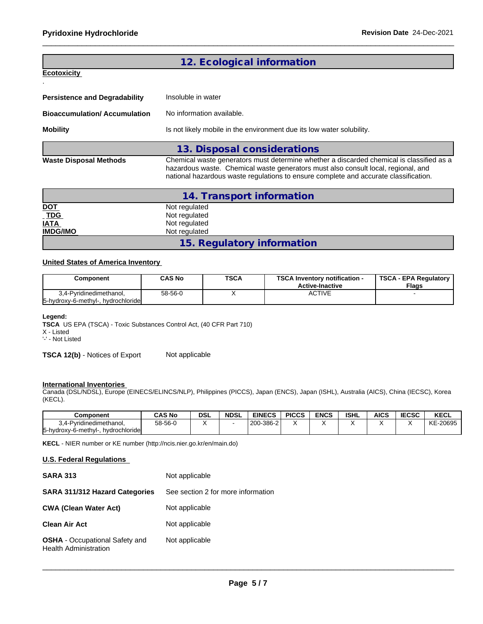# **Ecotoxicity**

.

# **12. Ecological information**

| <b>Persistence and Degradability</b> | Insoluble in water                                                                                                                                                                                                                                                    |  |  |  |  |  |
|--------------------------------------|-----------------------------------------------------------------------------------------------------------------------------------------------------------------------------------------------------------------------------------------------------------------------|--|--|--|--|--|
| <b>Bioaccumulation/Accumulation</b>  | No information available.                                                                                                                                                                                                                                             |  |  |  |  |  |
| <b>Mobility</b>                      | Is not likely mobile in the environment due its low water solubility.                                                                                                                                                                                                 |  |  |  |  |  |
|                                      | 13. Disposal considerations                                                                                                                                                                                                                                           |  |  |  |  |  |
| <b>Waste Disposal Methods</b>        | Chemical waste generators must determine whether a discarded chemical is classified as a<br>hazardous waste. Chemical waste generators must also consult local, regional, and<br>national hazardous waste regulations to ensure complete and accurate classification. |  |  |  |  |  |

|                            | 14. Transport information  |  |
|----------------------------|----------------------------|--|
|                            | Not regulated              |  |
| <u>DOT</u><br>_ <u>TDG</u> | Not regulated              |  |
| <b>IATA</b>                | Not regulated              |  |
| <b>IMDG/IMO</b>            | Not regulated              |  |
|                            | 15. Regulatory information |  |

#### **United States of America Inventory**

| Component                          | CAS No  | <b>TSCA</b> | <b>TSCA Inventory notification -</b><br><b>Active-Inactive</b> | <b>TSCA - EPA Regulatory</b><br><b>Flags</b> |  |  |
|------------------------------------|---------|-------------|----------------------------------------------------------------|----------------------------------------------|--|--|
| 3.4-Pvridinedimethanol.            | 58-56-0 |             | ACTIVE                                                         |                                              |  |  |
| 5-hydroxy-6-methyl-, hydrochloride |         |             |                                                                |                                              |  |  |

#### **Legend:**

**TSCA** US EPA (TSCA) - Toxic Substances Control Act, (40 CFR Part 710) X - Listed

'-' - Not Listed

**TSCA 12(b)** - Notices of Export Not applicable

#### **International Inventories**

Canada (DSL/NDSL), Europe (EINECS/ELINCS/NLP), Philippines (PICCS), Japan (ENCS), Japan (ISHL), Australia (AICS), China (IECSC), Korea (KECL).

| <b>Component</b>                       | <b>CAS No</b> | <b>DSL</b> | <b>NDSL</b> | <b>EINECS</b>    | <b>PICCS</b> | ENCS | <b>ISHL</b> | AICS | <b>IECSC</b> | <b>KECL</b>    |
|----------------------------------------|---------------|------------|-------------|------------------|--------------|------|-------------|------|--------------|----------------|
| 3.4-Pvridinedimethanol.<br>◡-          | 58-56-0       |            |             | $1200 - 386 - 2$ | ٠.           |      |             |      |              | $-20695$<br>KE |
| 5-hydroxy-6-methyl-.<br>hvdrochloridel |               |            |             |                  |              |      |             |      |              |                |

**KECL** - NIER number or KE number (http://ncis.nier.go.kr/en/main.do)

#### **U.S. Federal Regulations**

| <b>SARA 313</b>                                                       | Not applicable                     |
|-----------------------------------------------------------------------|------------------------------------|
| <b>SARA 311/312 Hazard Categories</b>                                 | See section 2 for more information |
| <b>CWA (Clean Water Act)</b>                                          | Not applicable                     |
| <b>Clean Air Act</b>                                                  | Not applicable                     |
| <b>OSHA</b> - Occupational Safety and<br><b>Health Administration</b> | Not applicable                     |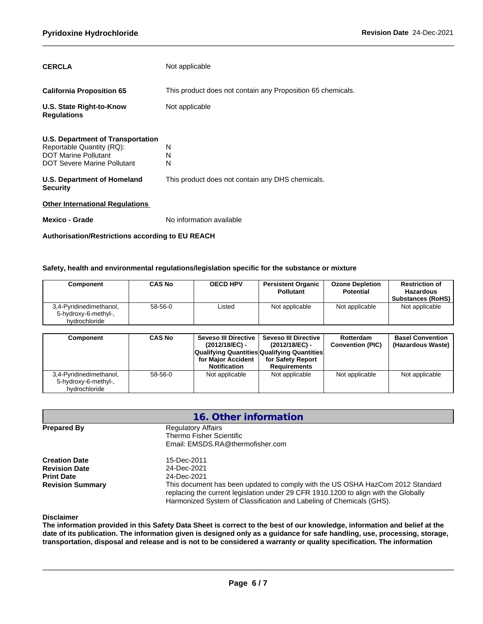| <b>CERCLA</b>                                                                                                                       | Not applicable                                              |
|-------------------------------------------------------------------------------------------------------------------------------------|-------------------------------------------------------------|
| <b>California Proposition 65</b>                                                                                                    | This product does not contain any Proposition 65 chemicals. |
| U.S. State Right-to-Know<br><b>Regulations</b>                                                                                      | Not applicable                                              |
| <b>U.S. Department of Transportation</b><br>Reportable Quantity (RQ):<br><b>DOT Marine Pollutant</b><br>DOT Severe Marine Pollutant | N<br>N<br>N                                                 |
| U.S. Department of Homeland<br><b>Security</b>                                                                                      | This product does not contain any DHS chemicals.            |
| <b>Other International Regulations</b>                                                                                              |                                                             |
| Mexico - Grade                                                                                                                      | No information available                                    |

**Authorisation/Restrictions according to EU REACH**

#### **Safety, health and environmental regulations/legislation specific for the substance or mixture**

| Component                                                        | <b>CAS No</b> | <b>OECD HPV</b>      | <b>Persistent Organic</b><br><b>Pollutant</b>                        | <b>Ozone Depletion</b><br><b>Potential</b> | <b>Restriction of</b><br><b>Hazardous</b><br><b>Substances (RoHS)</b> |
|------------------------------------------------------------------|---------------|----------------------|----------------------------------------------------------------------|--------------------------------------------|-----------------------------------------------------------------------|
| 3,4-Pyridinedimethanol,<br>5-hydroxy-6-methyl-,<br>hvdrochloride | 58-56-0       | Listed               | Not applicable                                                       | Not applicable                             | Not applicable                                                        |
| Component                                                        | <b>CAS No</b> | Seveso III Directive | <b>Seveso III Directive</b>                                          | Rotterdam                                  | <b>Basel Convention</b>                                               |
|                                                                  |               | (2012/18/EC) -       | (2012/18/EC) -<br><b>Oualifying Quantities Qualifying Quantities</b> | <b>Convention (PIC)</b>                    | (Hazardous Waste)                                                     |

|                         |         | . _ <i>_,</i> _     | .                                                  |                |                |
|-------------------------|---------|---------------------|----------------------------------------------------|----------------|----------------|
|                         |         |                     | <b>Qualifying Quantities Qualifying Quantities</b> |                |                |
|                         |         | for Major Accident  | for Safety Report                                  |                |                |
|                         |         | <b>Notification</b> | <b>Requirements</b>                                |                |                |
| 3,4-Pyridinedimethanol, | 58-56-0 | Not applicable      | Not applicable                                     | Not applicable | Not applicable |
| 5-hydroxy-6-methyl-,    |         |                     |                                                    |                |                |
| hydrochloride           |         |                     |                                                    |                |                |

|                                                                                              | 16. Other information                                                                                                                                                                                                                                                                      |  |
|----------------------------------------------------------------------------------------------|--------------------------------------------------------------------------------------------------------------------------------------------------------------------------------------------------------------------------------------------------------------------------------------------|--|
| <b>Prepared By</b>                                                                           | <b>Regulatory Affairs</b><br>Thermo Fisher Scientific<br>Email: EMSDS.RA@thermofisher.com                                                                                                                                                                                                  |  |
| <b>Creation Date</b><br><b>Revision Date</b><br><b>Print Date</b><br><b>Revision Summary</b> | 15-Dec-2011<br>24-Dec-2021<br>24-Dec-2021<br>This document has been updated to comply with the US OSHA HazCom 2012 Standard<br>replacing the current legislation under 29 CFR 1910.1200 to align with the Globally<br>Harmonized System of Classification and Labeling of Chemicals (GHS). |  |

**Disclaimer**

The information provided in this Safety Data Sheet is correct to the best of our knowledge, information and belief at the date of its publication. The information given is designed only as a guidance for safe handling, use, processing, storage, transportation, disposal and release and is not to be considered a warranty or quality specification. The information